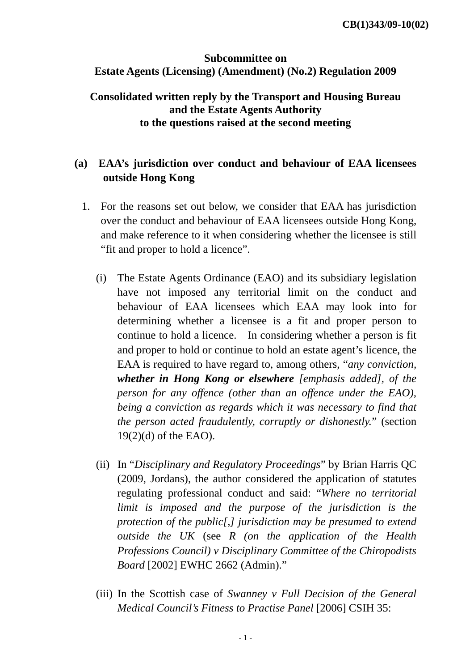#### **Subcommittee on Estate Agents (Licensing) (Amendment) (No.2) Regulation 2009**

#### **Consolidated written reply by the Transport and Housing Bureau and the Estate Agents Authority to the questions raised at the second meeting**

## **(a) EAA's jurisdiction over conduct and behaviour of EAA licensees outside Hong Kong**

- 1. For the reasons set out below, we consider that EAA has jurisdiction over the conduct and behaviour of EAA licensees outside Hong Kong, and make reference to it when considering whether the licensee is still "fit and proper to hold a licence".
	- (i) The Estate Agents Ordinance (EAO) and its subsidiary legislation have not imposed any territorial limit on the conduct and behaviour of EAA licensees which EAA may look into for determining whether a licensee is a fit and proper person to continue to hold a licence. In considering whether a person is fit and proper to hold or continue to hold an estate agent's licence, the EAA is required to have regard to, among others, "*any conviction, whether in Hong Kong or elsewhere [emphasis added], of the person for any offence (other than an offence under the EAO), being a conviction as regards which it was necessary to find that the person acted fraudulently, corruptly or dishonestly.*" (section 19(2)(d) of the EAO).
	- (ii) In "*Disciplinary and Regulatory Proceedings*" by Brian Harris QC (2009, Jordans), the author considered the application of statutes regulating professional conduct and said: "*Where no territorial limit is imposed and the purpose of the jurisdiction is the protection of the public[,] jurisdiction may be presumed to extend outside the UK* (see *R (on the application of the Health Professions Council) v Disciplinary Committee of the Chiropodists Board* [2002] EWHC 2662 (Admin)."
	- (iii) In the Scottish case of *Swanney v Full Decision of the General Medical Council's Fitness to Practise Panel* [2006] CSIH 35: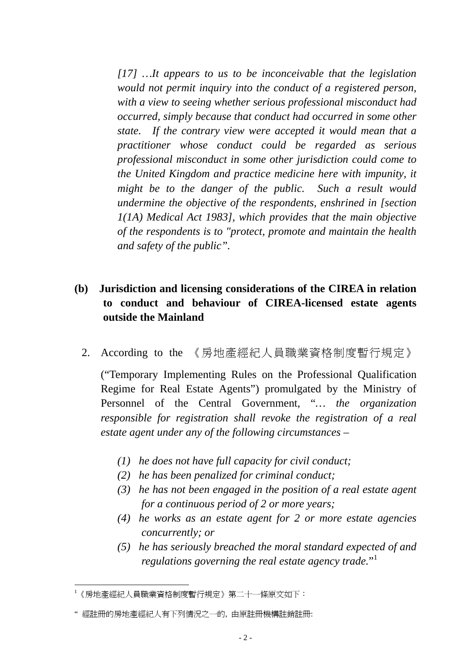*[17] …It appears to us to be inconceivable that the legislation would not permit inquiry into the conduct of a registered person, with a view to seeing whether serious professional misconduct had occurred, simply because that conduct had occurred in some other state. If the contrary view were accepted it would mean that a practitioner whose conduct could be regarded as serious professional misconduct in some other jurisdiction could come to the United Kingdom and practice medicine here with impunity, it might be to the danger of the public. Such a result would undermine the objective of the respondents, enshrined in [section 1(1A) Medical Act 1983], which provides that the main objective of the respondents is to "protect, promote and maintain the health and safety of the public".*

### **(b) Jurisdiction and licensing considerations of the CIREA in relation to conduct and behaviour of CIREA-licensed estate agents outside the Mainland**

2. According to the 《房地產經紀人員職業資格制度暫行規定》

("Temporary Implementing Rules on the Professional Qualification Regime for Real Estate Agents") promulgated by the Ministry of Personnel of the Central Government, "*… the organization responsible for registration shall revoke the registration of a real estate agent under any of the following circumstances –* 

- *(1) he does not have full capacity for civil conduct;*
- *(2) he has been penalized for criminal conduct;*
- *(3) he has not been engaged in the position of a real estate agent for a continuous period of 2 or more years;*
- *(4) he works as an estate agent for 2 or more estate agencies concurrently; or*
- *(5) he has seriously breached the moral standard expected of and regulations governing the real estate agency trade.*" 1

 1 《房地產經紀人員職業資格制度暫行規定》第二十一條原文如下:

<sup>&</sup>quot; 經註冊的房地產經紀人有下列情況之一的, 由原註冊機構註銷註冊: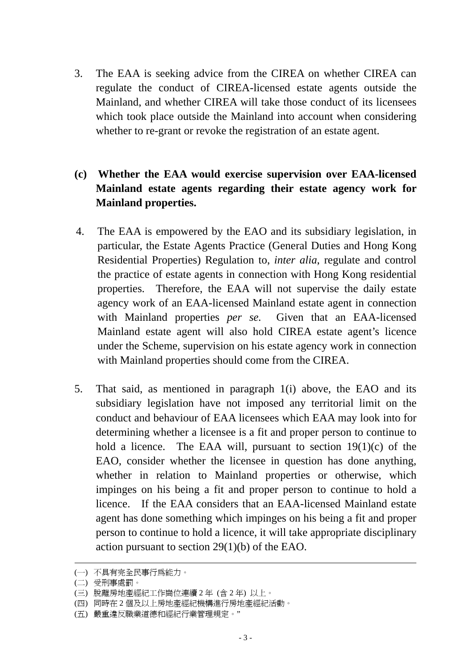3. The EAA is seeking advice from the CIREA on whether CIREA can regulate the conduct of CIREA-licensed estate agents outside the Mainland, and whether CIREA will take those conduct of its licensees which took place outside the Mainland into account when considering whether to re-grant or revoke the registration of an estate agent.

# **(c) Whether the EAA would exercise supervision over EAA-licensed Mainland estate agents regarding their estate agency work for Mainland properties.**

- 4. The EAA is empowered by the EAO and its subsidiary legislation, in particular, the Estate Agents Practice (General Duties and Hong Kong Residential Properties) Regulation to, *inter alia*, regulate and control the practice of estate agents in connection with Hong Kong residential properties. Therefore, the EAA will not supervise the daily estate agency work of an EAA-licensed Mainland estate agent in connection with Mainland properties *per se.* Given that an EAA-licensed Mainland estate agent will also hold CIREA estate agent's licence under the Scheme, supervision on his estate agency work in connection with Mainland properties should come from the CIREA.
- 5. That said, as mentioned in paragraph 1(i) above, the EAO and its subsidiary legislation have not imposed any territorial limit on the conduct and behaviour of EAA licensees which EAA may look into for determining whether a licensee is a fit and proper person to continue to hold a licence. The EAA will, pursuant to section  $19(1)(c)$  of the EAO, consider whether the licensee in question has done anything, whether in relation to Mainland properties or otherwise, which impinges on his being a fit and proper person to continue to hold a licence. If the EAA considers that an EAA-licensed Mainland estate agent has done something which impinges on his being a fit and proper person to continue to hold a licence, it will take appropriate disciplinary action pursuant to section 29(1)(b) of the EAO.

 $\overline{a}$ 

<sup>(</sup>一) 不具有完全民事行為能力。

<sup>(</sup>二) 受刑事處罰。

<sup>(</sup>三) 脫離房地產經紀工作崗位連續 2 年 (含 2 年) 以上。

<sup>(</sup>四) 同時在 2 個及以上房地產經紀機構進行房地產經紀活動。

<sup>(</sup>五) 嚴重違反職業道德和經紀行業管理規定。"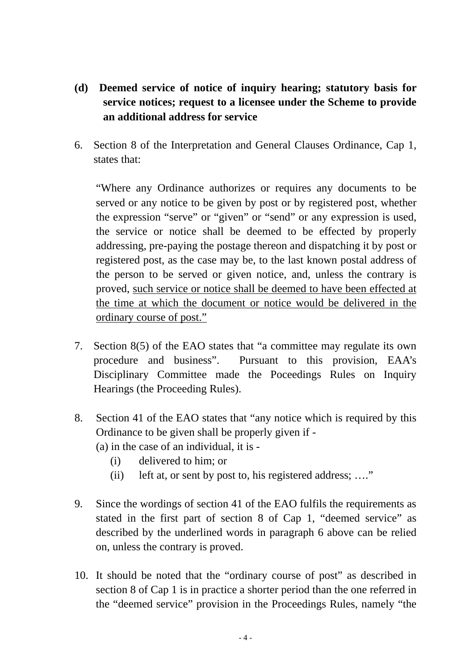- **(d) Deemed service of notice of inquiry hearing; statutory basis for service notices; request to a licensee under the Scheme to provide an additional address for service**
- 6. Section 8 of the Interpretation and General Clauses Ordinance, Cap 1, states that:

"Where any Ordinance authorizes or requires any documents to be served or any notice to be given by post or by registered post, whether the expression "serve" or "given" or "send" or any expression is used, the service or notice shall be deemed to be effected by properly addressing, pre-paying the postage thereon and dispatching it by post or registered post, as the case may be, to the last known postal address of the person to be served or given notice, and, unless the contrary is proved, such service or notice shall be deemed to have been effected at the time at which the document or notice would be delivered in the ordinary course of post."

- 7. Section 8(5) of the EAO states that "a committee may regulate its own procedure and business". Pursuant to this provision, EAA's Disciplinary Committee made the Poceedings Rules on Inquiry Hearings (the Proceeding Rules).
- 8. Section 41 of the EAO states that "any notice which is required by this Ordinance to be given shall be properly given if - (a) in the case of an individual, it is -
	- (i) delivered to him; or
	- (ii) left at, or sent by post to, his registered address; ...."
- 9. Since the wordings of section 41 of the EAO fulfils the requirements as stated in the first part of section 8 of Cap 1, "deemed service" as described by the underlined words in paragraph 6 above can be relied on, unless the contrary is proved.
- 10. It should be noted that the "ordinary course of post" as described in section 8 of Cap 1 is in practice a shorter period than the one referred in the "deemed service" provision in the Proceedings Rules, namely "the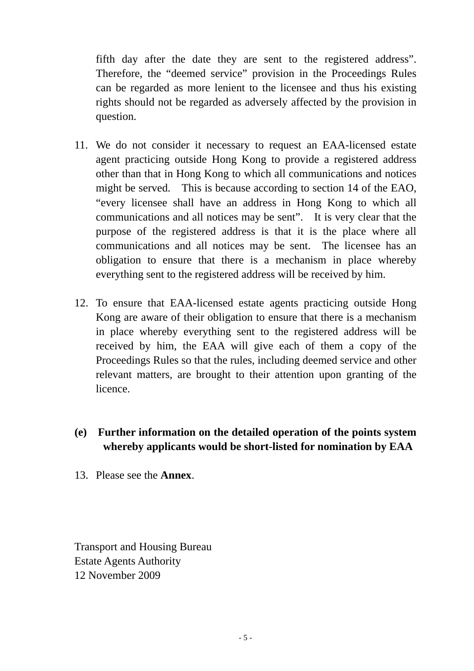fifth day after the date they are sent to the registered address". Therefore, the "deemed service" provision in the Proceedings Rules can be regarded as more lenient to the licensee and thus his existing rights should not be regarded as adversely affected by the provision in question.

- 11. We do not consider it necessary to request an EAA-licensed estate agent practicing outside Hong Kong to provide a registered address other than that in Hong Kong to which all communications and notices might be served. This is because according to section 14 of the EAO, "every licensee shall have an address in Hong Kong to which all communications and all notices may be sent". It is very clear that the purpose of the registered address is that it is the place where all communications and all notices may be sent. The licensee has an obligation to ensure that there is a mechanism in place whereby everything sent to the registered address will be received by him.
- 12. To ensure that EAA-licensed estate agents practicing outside Hong Kong are aware of their obligation to ensure that there is a mechanism in place whereby everything sent to the registered address will be received by him, the EAA will give each of them a copy of the Proceedings Rules so that the rules, including deemed service and other relevant matters, are brought to their attention upon granting of the licence.
- **(e) Further information on the detailed operation of the points system whereby applicants would be short-listed for nomination by EAA**
- 13. Please see the **Annex**.

Transport and Housing Bureau Estate Agents Authority 12 November 2009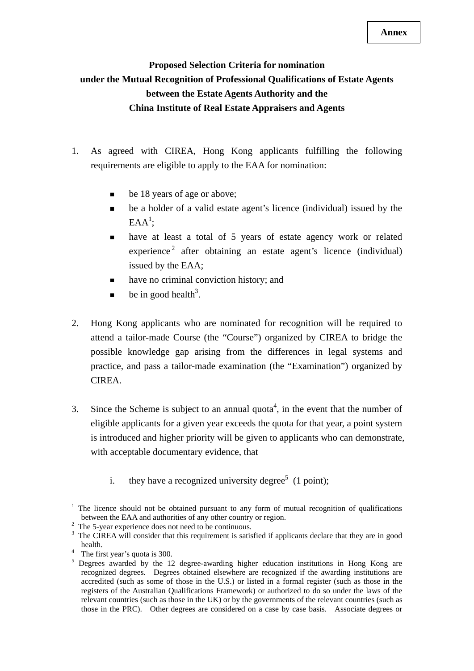## **Proposed Selection Criteria for nomination under the Mutual Recognition of Professional Qualifications of Estate Agents between the Estate Agents Authority and the China Institute of Real Estate Appraisers and Agents**

- 1. As agreed with CIREA, Hong Kong applicants fulfilling the following requirements are eligible to apply to the EAA for nomination:
	- be 18 years of age or above;
	- be a holder of a valid estate agent's licence (individual) issued by the  $EAA^1$ ;
	- have at least a total of 5 years of estate agency work or related  $experience<sup>2</sup>$  after obtaining an estate agent's licence (individual) issued by the EAA;
	- have no criminal conviction history; and
	- $\bullet$  be in good health<sup>3</sup>.
- 2. Hong Kong applicants who are nominated for recognition will be required to attend a tailor-made Course (the "Course") organized by CIREA to bridge the possible knowledge gap arising from the differences in legal systems and practice, and pass a tailor-made examination (the "Examination") organized by CIREA.
- 3. Since the Scheme is subject to an annual quota<sup>4</sup>, in the event that the number of eligible applicants for a given year exceeds the quota for that year, a point system is introduced and higher priority will be given to applicants who can demonstrate, with acceptable documentary evidence, that
	- i. they have a recognized university degree<sup>5</sup> (1 point);

<sup>1</sup> 1 The licence should not be obtained pursuant to any form of mutual recognition of qualifications between the EAA and authorities of any other country or region.

 $2$  The 5-year experience does not need to be continuous.

<sup>&</sup>lt;sup>3</sup> The CIREA will consider that this requirement is satisfied if applicants declare that they are in good

health.<br><sup>4</sup> The first year's quota is 300.

<sup>&</sup>lt;sup>5</sup> Degrees awarded by the 12 degree-awarding higher education institutions in Hong Kong are recognized degrees. Degrees obtained elsewhere are recognized if the awarding institutions are accredited (such as some of those in the U.S.) or listed in a formal register (such as those in the registers of the Australian Qualifications Framework) or authorized to do so under the laws of the relevant countries (such as those in the UK) or by the governments of the relevant countries (such as those in the PRC). Other degrees are considered on a case by case basis. Associate degrees or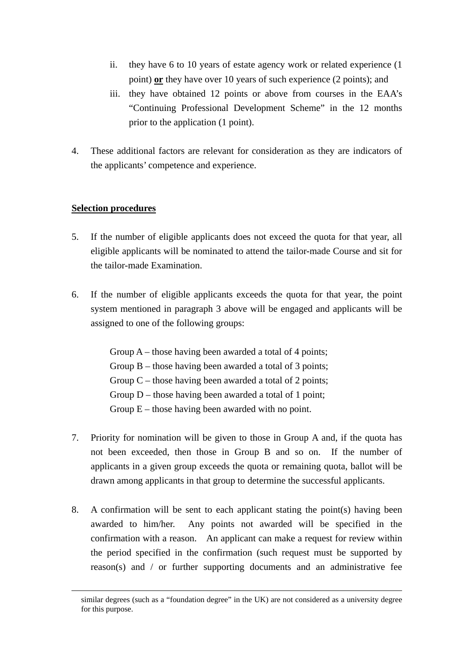- ii. they have 6 to 10 years of estate agency work or related experience (1 point) **or** they have over 10 years of such experience (2 points); and
- iii. they have obtained 12 points or above from courses in the EAA's "Continuing Professional Development Scheme" in the 12 months prior to the application (1 point).
- 4. These additional factors are relevant for consideration as they are indicators of the applicants' competence and experience.

#### **Selection procedures**

- 5. If the number of eligible applicants does not exceed the quota for that year, all eligible applicants will be nominated to attend the tailor-made Course and sit for the tailor-made Examination.
- 6. If the number of eligible applicants exceeds the quota for that year, the point system mentioned in paragraph 3 above will be engaged and applicants will be assigned to one of the following groups:

Group  $A$  – those having been awarded a total of 4 points; Group B – those having been awarded a total of 3 points; Group  $C$  – those having been awarded a total of 2 points; Group D – those having been awarded a total of 1 point; Group  $E$  – those having been awarded with no point.

- 7. Priority for nomination will be given to those in Group A and, if the quota has not been exceeded, then those in Group B and so on. If the number of applicants in a given group exceeds the quota or remaining quota, ballot will be drawn among applicants in that group to determine the successful applicants.
- 8. A confirmation will be sent to each applicant stating the point(s) having been awarded to him/her. Any points not awarded will be specified in the confirmation with a reason. An applicant can make a request for review within the period specified in the confirmation (such request must be supported by reason(s) and / or further supporting documents and an administrative fee

similar degrees (such as a "foundation degree" in the UK) are not considered as a university degree for this purpose.